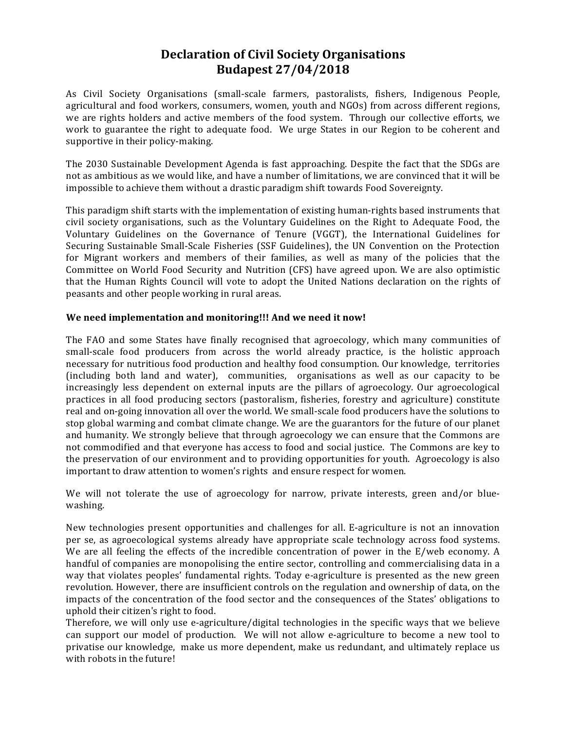# **Declaration of Civil Society Organisations Budapest 27/04/2018**

As Civil Society Organisations (small-scale farmers, pastoralists, fishers, Indigenous People, agricultural and food workers, consumers, women, youth and NGOs) from across different regions, we are rights holders and active members of the food system. Through our collective efforts, we work to guarantee the right to adequate food. We urge States in our Region to be coherent and supportive in their policy-making.

The 2030 Sustainable Development Agenda is fast approaching. Despite the fact that the SDGs are not as ambitious as we would like, and have a number of limitations, we are convinced that it will be impossible to achieve them without a drastic paradigm shift towards Food Sovereignty.

This paradigm shift starts with the implementation of existing human-rights based instruments that civil society organisations, such as the Voluntary Guidelines on the Right to Adequate Food, the Voluntary Guidelines on the Governance of Tenure (VGGT), the International Guidelines for Securing Sustainable Small-Scale Fisheries (SSF Guidelines), the UN Convention on the Protection for Migrant workers and members of their families, as well as many of the policies that the Committee on World Food Security and Nutrition (CFS) have agreed upon. We are also optimistic that the Human Rights Council will vote to adopt the United Nations declaration on the rights of peasants and other people working in rural areas.

### We need implementation and monitoring!!! And we need it now!

The FAO and some States have finally recognised that agroecology, which many communities of small-scale food producers from across the world already practice, is the holistic approach necessary for nutritious food production and healthy food consumption. Our knowledge, territories (including both land and water), communities, organisations as well as our capacity to be increasingly less dependent on external inputs are the pillars of agroecology. Our agroecological practices in all food producing sectors (pastoralism, fisheries, forestry and agriculture) constitute real and on-going innovation all over the world. We small-scale food producers have the solutions to stop global warming and combat climate change. We are the guarantors for the future of our planet and humanity. We strongly believe that through agroecology we can ensure that the Commons are not commodified and that everyone has access to food and social justice. The Commons are key to the preservation of our environment and to providing opportunities for youth. Agroecology is also important to draw attention to women's rights and ensure respect for women.

We will not tolerate the use of agroecology for narrow, private interests, green and/or bluewashing.

New technologies present opportunities and challenges for all. E-agriculture is not an innovation per se, as agroecological systems already have appropriate scale technology across food systems. We are all feeling the effects of the incredible concentration of power in the  $E$ /web economy. A handful of companies are monopolising the entire sector, controlling and commercialising data in a way that violates peoples' fundamental rights. Today e-agriculture is presented as the new green revolution. However, there are insufficient controls on the regulation and ownership of data, on the impacts of the concentration of the food sector and the consequences of the States' obligations to uphold their citizen's right to food.

Therefore, we will only use e-agriculture/digital technologies in the specific ways that we believe can support our model of production. We will not allow e-agriculture to become a new tool to privatise our knowledge, make us more dependent, make us redundant, and ultimately replace us with robots in the future!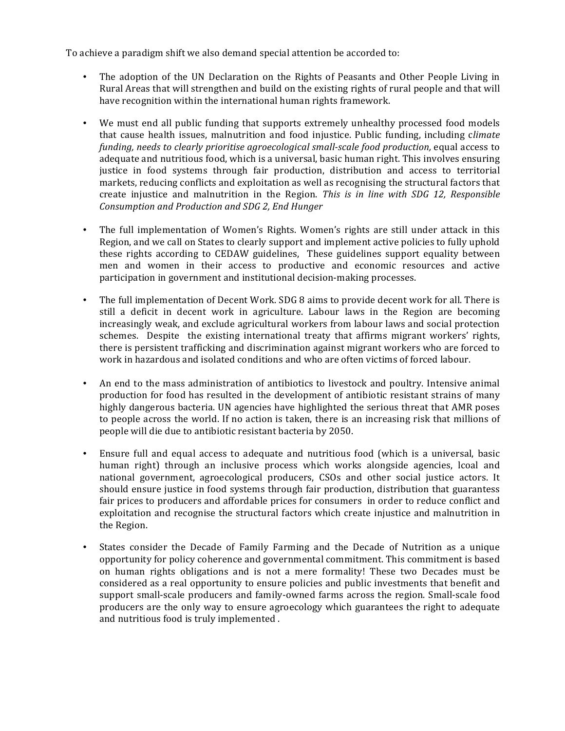To achieve a paradigm shift we also demand special attention be accorded to:

- The adoption of the UN Declaration on the Rights of Peasants and Other People Living in Rural Areas that will strengthen and build on the existing rights of rural people and that will have recognition within the international human rights framework.
- We must end all public funding that supports extremely unhealthy processed food models that cause health issues, malnutrition and food injustice. Public funding, including *climate funding, needs to clearly prioritise agroecological small-scale food production, equal access to* adequate and nutritious food, which is a universal, basic human right. This involves ensuring justice in food systems through fair production, distribution and access to territorial markets, reducing conflicts and exploitation as well as recognising the structural factors that create injustice and malnutrition in the Region. *This* is in line with SDG 12, Responsible *Consumption and Production and SDG 2, End Hunger*
- The full implementation of Women's Rights. Women's rights are still under attack in this Region, and we call on States to clearly support and implement active policies to fully uphold these rights according to CEDAW guidelines, These guidelines support equality between men and women in their access to productive and economic resources and active participation in government and institutional decision-making processes.
- The full implementation of Decent Work. SDG 8 aims to provide decent work for all. There is still a deficit in decent work in agriculture. Labour laws in the Region are becoming increasingly weak, and exclude agricultural workers from labour laws and social protection schemes. Despite the existing international treaty that affirms migrant workers' rights, there is persistent trafficking and discrimination against migrant workers who are forced to work in hazardous and isolated conditions and who are often victims of forced labour.
- An end to the mass administration of antibiotics to livestock and poultry. Intensive animal production for food has resulted in the development of antibiotic resistant strains of many highly dangerous bacteria. UN agencies have highlighted the serious threat that AMR poses to people across the world. If no action is taken, there is an increasing risk that millions of people will die due to antibiotic resistant bacteria by 2050.
- Ensure full and equal access to adequate and nutritious food (which is a universal, basic human right) through an inclusive process which works alongside agencies, lcoal and national government, agroecological producers, CSOs and other social justice actors. It should ensure justice in food systems through fair production, distribution that guarantess fair prices to producers and affordable prices for consumers in order to reduce conflict and exploitation and recognise the structural factors which create injustice and malnutrition in the Region.
- States consider the Decade of Family Farming and the Decade of Nutrition as a unique opportunity for policy coherence and governmental commitment. This commitment is based on human rights obligations and is not a mere formality! These two Decades must be considered as a real opportunity to ensure policies and public investments that benefit and support small-scale producers and family-owned farms across the region. Small-scale food producers are the only way to ensure agroecology which guarantees the right to adequate and nutritious food is truly implemented.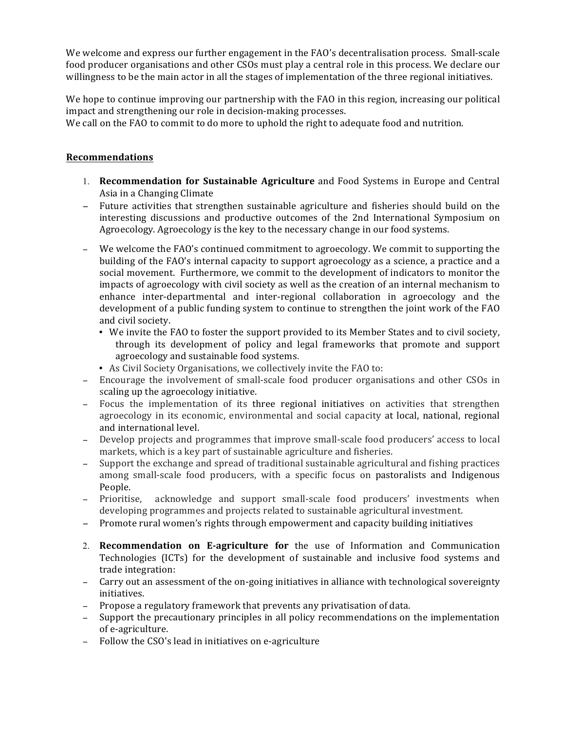We welcome and express our further engagement in the FAO's decentralisation process. Small-scale food producer organisations and other CSOs must play a central role in this process. We declare our willingness to be the main actor in all the stages of implementation of the three regional initiatives.

We hope to continue improving our partnership with the FAO in this region, increasing our political impact and strengthening our role in decision-making processes.

We call on the FAO to commit to do more to uphold the right to adequate food and nutrition.

## **Recommendations**

- 1. **Recommendation for Sustainable Agriculture** and Food Systems in Europe and Central Asia in a Changing Climate
- − Future activities that strengthen sustainable agriculture and fisheries should build on the interesting discussions and productive outcomes of the 2nd International Symposium on Agroecology. Agroecology is the key to the necessary change in our food systems.
- − We welcome the FAO's continued commitment to agroecology. We commit to supporting the building of the FAO's internal capacity to support agroecology as a science, a practice and a social movement. Furthermore, we commit to the development of indicators to monitor the impacts of agroecology with civil society as well as the creation of an internal mechanism to enhance inter-departmental and inter-regional collaboration in agroecology and the development of a public funding system to continue to strengthen the joint work of the FAO and civil society.
	- We invite the FAO to foster the support provided to its Member States and to civil society, through its development of policy and legal frameworks that promote and support agroecology and sustainable food systems.
	- As Civil Society Organisations, we collectively invite the FAO to:
- − Encourage the involvement of small-scale food producer organisations and other CSOs in scaling up the agroecology initiative.
- − Focus the implementation of its three regional initiatives on activities that strengthen agroecology in its economic, environmental and social capacity at local, national, regional and international level.
- − Develop projects and programmes that improve small-scale food producers' access to local markets, which is a key part of sustainable agriculture and fisheries.
- − Support the exchange and spread of traditional sustainable agricultural and fishing practices among small-scale food producers, with a specific focus on pastoralists and Indigenous People.
- − Prioritise, acknowledge and support small-scale food producers' investments when developing programmes and projects related to sustainable agricultural investment.
- − Promote rural women's rights through empowerment and capacity building initiatives
- 2. **Recommendation on E-agriculture for** the use of Information and Communication Technologies (ICTs) for the development of sustainable and inclusive food systems and trade integration:
- − Carry out an assessment of the on-going initiatives in alliance with technological sovereignty initiatives.
- − Propose a regulatory framework that prevents any privatisation of data.
- − Support the precautionary principles in all policy recommendations on the implementation of e-agriculture.
- − Follow the CSO's lead in initiatives on e-agriculture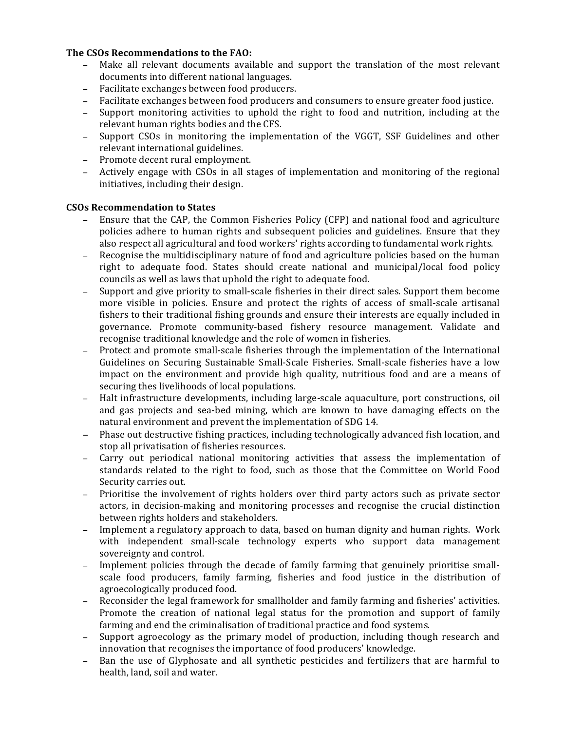### **The CSOs Recommendations to the FAO:**

- − Make all relevant documents available and support the translation of the most relevant documents into different national languages.
- − Facilitate exchanges between food producers.
- − Facilitate exchanges between food producers and consumers to ensure greater food justice.
- − Support monitoring activities to uphold the right to food and nutrition, including at the relevant human rights bodies and the CFS.
- − Support CSOs in monitoring the implementation of the VGGT, SSF Guidelines and other relevant international guidelines.
- − Promote decent rural employment.
- − Actively engage with CSOs in all stages of implementation and monitoring of the regional initiatives, including their design.

## **CSOs Recommendation to States**

- Ensure that the CAP, the Common Fisheries Policy (CFP) and national food and agriculture policies adhere to human rights and subsequent policies and guidelines. Ensure that they also respect all agricultural and food workers' rights according to fundamental work rights.
- − Recognise the multidisciplinary nature of food and agriculture policies based on the human right to adequate food. States should create national and municipal/local food policy councils as well as laws that uphold the right to adequate food.
- − Support and give priority to small-scale fisheries in their direct sales. Support them become more visible in policies. Ensure and protect the rights of access of small-scale artisanal fishers to their traditional fishing grounds and ensure their interests are equally included in governance. Promote community-based fishery resource management. Validate and recognise traditional knowledge and the role of women in fisheries.
- − Protect and promote small-scale fisheries through the implementation of the International Guidelines on Securing Sustainable Small-Scale Fisheries. Small-scale fisheries have a low impact on the environment and provide high quality, nutritious food and are a means of securing thes livelihoods of local populations.
- Halt infrastructure developments, including large-scale aquaculture, port constructions, oil and gas projects and sea-bed mining, which are known to have damaging effects on the natural environment and prevent the implementation of SDG 14.
- − Phase out destructive fishing practices, including technologically advanced fish location, and stop all privatisation of fisheries resources.
- − Carry out periodical national monitoring activities that assess the implementation of standards related to the right to food, such as those that the Committee on World Food Security carries out.
- − Prioritise the involvement of rights holders over third party actors such as private sector actors, in decision-making and monitoring processes and recognise the crucial distinction between rights holders and stakeholders.
- − Implement a regulatory approach to data, based on human dignity and human rights. Work with independent small-scale technology experts who support data management sovereignty and control.
- − Implement policies through the decade of family farming that genuinely prioritise smallscale food producers, family farming, fisheries and food justice in the distribution of agroecologically produced food.
- − Reconsider the legal framework for smallholder and family farming and fisheries' activities. Promote the creation of national legal status for the promotion and support of family farming and end the criminalisation of traditional practice and food systems.
- − Support agroecology as the primary model of production, including though research and innovation that recognises the importance of food producers' knowledge.
- − Ban the use of Glyphosate and all synthetic pesticides and fertilizers that are harmful to health, land, soil and water.